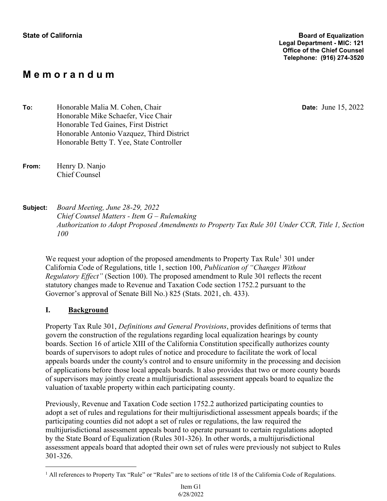## **M e m o r a n d u m**

**Date:** June 15, 2022

**To:** Honorable Malia M. Cohen, Chair Honorable Mike Schaefer, Vice Chair Honorable Ted Gaines, First District Honorable Antonio Vazquez, Third District Honorable Betty T. Yee, State Controller

**From:** Henry D. Nanjo Chief Counsel

**Subject:** *Board Meeting, June 28-29, 2022 Chief Counsel Matters - Item G – Rulemaking Authorization to Adopt Proposed Amendments to Property Tax Rule 301 Under CCR, Title 1, Section 100* 

We request your adoption of the proposed amendments to Property Tax Rule<sup>1</sup> 301 under California Code of Regulations, title 1, section 100, *Publication of "Changes Without Regulatory Effect"* (Section 100). The proposed amendment to Rule 301 reflects the recent statutory changes made to Revenue and Taxation Code section 1752.2 pursuant to the Governor's approval of Senate Bill No.) 825 (Stats. 2021, ch. 433).

### **I. Background**

Property Tax Rule 301, *Definitions and General Provisions*, provides definitions of terms that govern the construction of the regulations regarding local equalization hearings by county boards. Section 16 of article XIII of the California Constitution specifically authorizes county boards of supervisors to adopt rules of notice and procedure to facilitate the work of local appeals boards under the county's control and to ensure uniformity in the processing and decision of applications before those local appeals boards. It also provides that two or more county boards of supervisors may jointly create a multijurisdictional assessment appeals board to equalize the valuation of taxable property within each participating county.

Previously, Revenue and Taxation Code section 1752.2 authorized participating counties to adopt a set of rules and regulations for their multijurisdictional assessment appeals boards; if the participating counties did not adopt a set of rules or regulations, the law required the multijurisdictional assessment appeals board to operate pursuant to certain regulations adopted by the State Board of Equalization (Rules 301-326). In other words, a multijurisdictional assessment appeals board that adopted their own set of rules were previously not subject to Rules 301-326.

<sup>&</sup>lt;sup>1</sup> All references to Property Tax "Rule" or "Rules" are to sections of title 18 of the California Code of Regulations.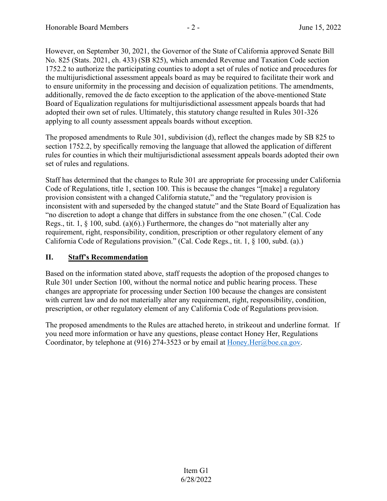However, on September 30, 2021, the Governor of the State of California approved Senate Bill No. 825 (Stats. 2021, ch. 433) (SB 825), which amended Revenue and Taxation Code section 1752.2 to authorize the participating counties to adopt a set of rules of notice and procedures for the multijurisdictional assessment appeals board as may be required to facilitate their work and to ensure uniformity in the processing and decision of equalization petitions. The amendments, additionally, removed the de facto exception to the application of the above-mentioned State Board of Equalization regulations for multijurisdictional assessment appeals boards that had adopted their own set of rules. Ultimately, this statutory change resulted in Rules 301-326 applying to all county assessment appeals boards without exception.

The proposed amendments to Rule 301, subdivision (d), reflect the changes made by SB 825 to section 1752.2, by specifically removing the language that allowed the application of different rules for counties in which their multijurisdictional assessment appeals boards adopted their own set of rules and regulations.

Staff has determined that the changes to Rule 301 are appropriate for processing under California Code of Regulations, title 1, section 100. This is because the changes "[make] a regulatory provision consistent with a changed California statute," and the "regulatory provision is inconsistent with and superseded by the changed statute" and the State Board of Equalization has "no discretion to adopt a change that differs in substance from the one chosen." (Cal. Code Regs., tit. 1, § 100, subd. (a)(6).) Furthermore, the changes do "not materially alter any requirement, right, responsibility, condition, prescription or other regulatory element of any California Code of Regulations provision." (Cal. Code Regs., tit. 1, § 100, subd. (a).)

### **II. Staff's Recommendation**

Based on the information stated above, staff requests the adoption of the proposed changes to Rule 301 under Section 100, without the normal notice and public hearing process. These changes are appropriate for processing under Section 100 because the changes are consistent with current law and do not materially alter any requirement, right, responsibility, condition, prescription, or other regulatory element of any California Code of Regulations provision.

The proposed amendments to the Rules are attached hereto, in strikeout and underline format. If you need more information or have any questions, please contact Honey Her, Regulations Coordinator, by telephone at (916) 274-3523 or by email at Honey. Her@boe.ca.gov.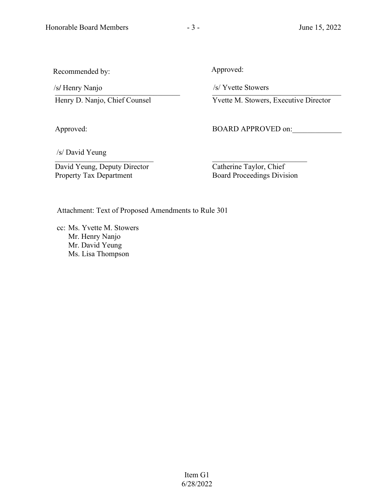Recommended by:

/s/ /s/ Henry Nanjo Henry Nanjo \_\_\_\_\_\_\_\_\_\_\_\_\_\_\_\_\_\_\_\_\_\_\_\_\_\_\_\_\_\_\_\_\_ /s/ Henry Nanjo

Henry D. Nanjo, Chief Counsel

Approved:

Approved:

/s/ Yvette Stowers \_\_\_\_\_\_\_\_\_\_\_\_\_\_\_\_\_\_\_\_\_\_\_\_\_\_\_\_\_\_\_\_\_\_ /s/ Yvette Stowers

Yvette M. Stowers, Executive Director

BOARD APPROVED on:

/s/ David Yeung \_\_\_\_\_\_\_\_\_\_\_\_\_\_\_\_\_\_\_\_\_\_\_\_\_\_ /s/ David Yeung

David Yeung, Deputy Director Property Tax Department

 $\mathcal{L}=\mathcal{L}$  , where  $\mathcal{L}=\mathcal{L}$  Catherine Taylor, Chief Board Proceedings Division

Attachment: Text of Proposed Amendments to Rule 301

cc: Ms. Yvette M. Stowers Mr. Henry Nanjo Mr. David Yeung Ms. Lisa Thompson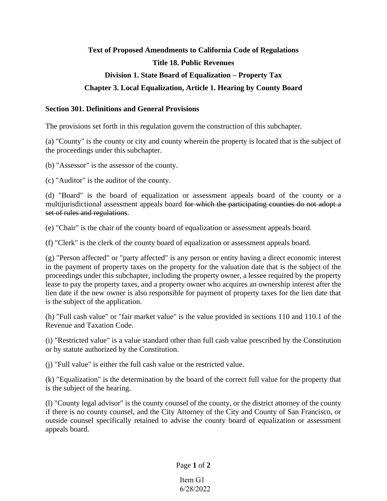# **Text of Proposed Amendments to California Code of Regulations Title 18. Public Revenues Division 1. State Board of Equalization – Property Tax Chapter 3. Local Equalization, Article 1. Hearing by County Board**

#### **Section 301. Definitions and General Provisions**

The provisions set forth in this regulation govern the construction of this subchapter.

(a) "County" is the county or city and county wherein the property is located that is the subject of the proceedings under this subchapter.

(b) "Assessor" is the assessor of the county.

(c) "Auditor" is the auditor of the county.

(d) "Board" is the board of equalization or assessment appeals board of the county or a multijurisdictional assessment appeals board for which the participating counties do not adopt a set of rules and regulations.

(e) "Chair" is the chair of the county board of equalization or assessment appeals board.

(f) "Clerk" is the clerk of the county board of equalization or assessment appeals board.

(g) "Person affected" or "party affected" is any person or entity having a direct economic interest in the payment of property taxes on the property for the valuation date that is the subject of the proceedings under this subchapter, including the property owner, a lessee required by the property lease to pay the property taxes, and a property owner who acquires an ownership interest after the lien date if the new owner is also responsible for payment of property taxes for the lien date that is the subject of the application.

(h) "Full cash value" or "fair market value" is the value provided in sections 110 and 110.1 of the Revenue and Taxation Code.

(i) "Restricted value" is a value standard other than full cash value prescribed by the Constitution or by statute authorized by the Constitution.

(j) "Full value" is either the full cash value or the restricted value.

(k) "Equalization" is the determination by the board of the correct full value for the property that is the subject of the hearing.

(l) "County legal advisor" is the county counsel of the county, or the district attorney of the county if there is no county counsel, and the City Attorney of the City and County of San Francisco, or outside counsel specifically retained to advise the county board of equalization or assessment appeals board.

Page **1** of **2**